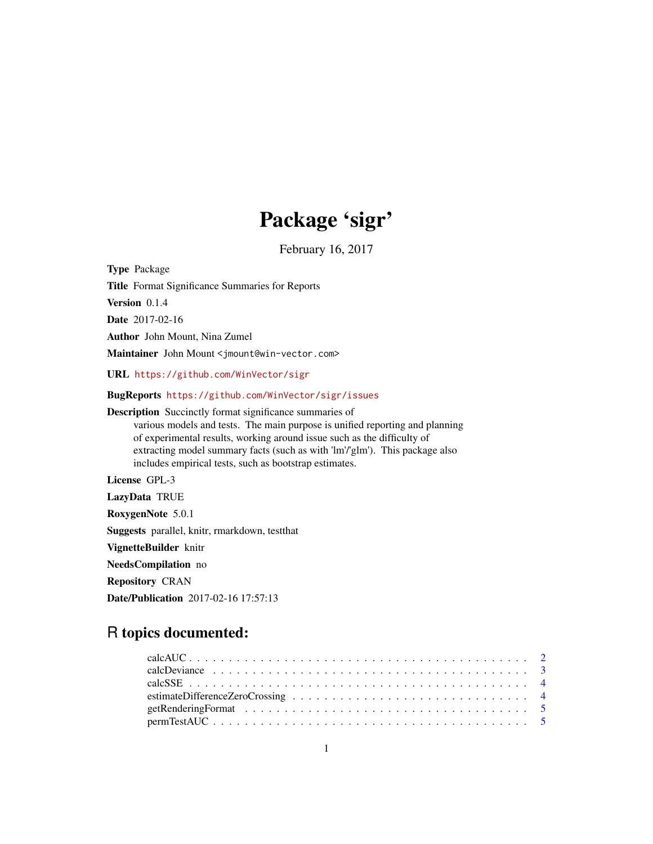# Package 'sigr'

February 16, 2017

Type Package

Title Format Significance Summaries for Reports

Version 0.1.4

Date 2017-02-16

Author John Mount, Nina Zumel

Maintainer John Mount <jmount@win-vector.com>

URL <https://github.com/WinVector/sigr>

BugReports <https://github.com/WinVector/sigr/issues>

Description Succinctly format significance summaries of various models and tests. The main purpose is unified reporting and planning of experimental results, working around issue such as the difficulty of extracting model summary facts (such as with 'lm'/'glm'). This package also includes empirical tests, such as bootstrap estimates.

License GPL-3

LazyData TRUE

RoxygenNote 5.0.1

Suggests parallel, knitr, rmarkdown, testthat

VignetteBuilder knitr

NeedsCompilation no

Repository CRAN

Date/Publication 2017-02-16 17:57:13

# R topics documented: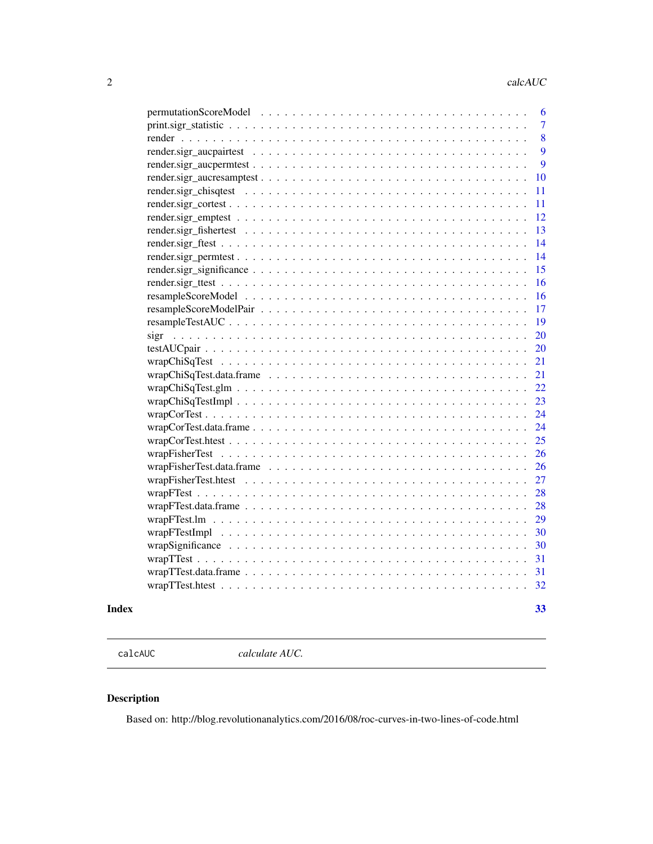<span id="page-1-0"></span>

| 6              |
|----------------|
| $\overline{7}$ |
| 8              |
| 9              |
| 9              |
| 10             |
| 11             |
| 11             |
| 12             |
| 13             |
| 14             |
| 14             |
| 15             |
| 16             |
| 16             |
| 17             |
| 19             |
| 20             |
| 20             |
| 21             |
| 21             |
| 22             |
| 23             |
| 24             |
| 24             |
| 25             |
| 26             |
| 26             |
| 27             |
| 28             |
| 28             |
| 29             |
| 30             |
| 30             |
| 31             |
| 31             |
| 32             |
|                |

### **Index** [33](#page-32-0)

calcAUC *calculate AUC.*

# Description

Based on: http://blog.revolutionanalytics.com/2016/08/roc-curves-in-two-lines-of-code.html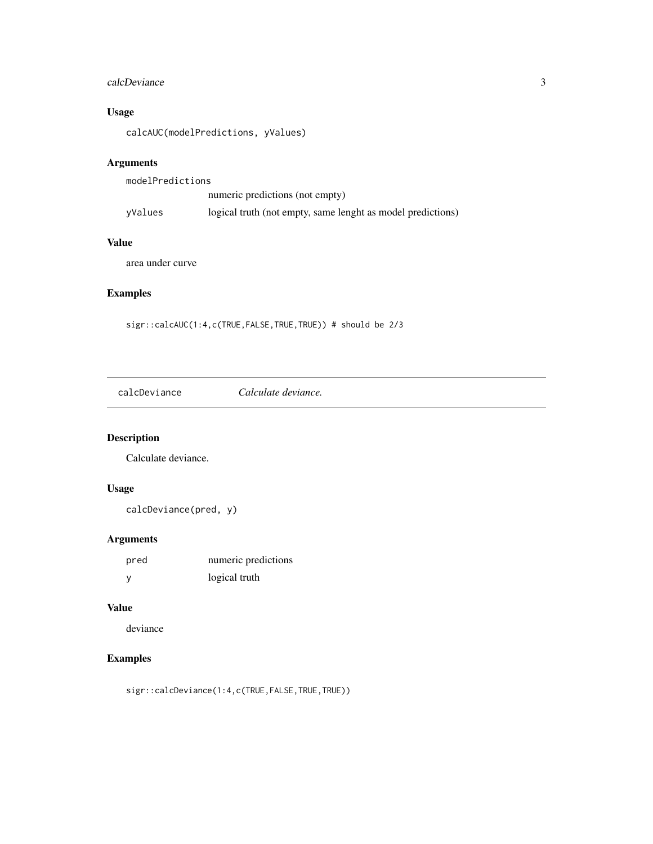# <span id="page-2-0"></span>calcDeviance 3

# Usage

calcAUC(modelPredictions, yValues)

# Arguments

| modelPredictions |                                                             |
|------------------|-------------------------------------------------------------|
|                  | numeric predictions (not empty)                             |
| yValues          | logical truth (not empty, same lenght as model predictions) |

# Value

area under curve

# Examples

sigr::calcAUC(1:4,c(TRUE,FALSE,TRUE,TRUE)) # should be 2/3

calcDeviance *Calculate deviance.*

# Description

Calculate deviance.

# Usage

calcDeviance(pred, y)

# Arguments

| pred         | numeric predictions |
|--------------|---------------------|
| <sub>y</sub> | logical truth       |

### Value

deviance

# Examples

sigr::calcDeviance(1:4,c(TRUE,FALSE,TRUE,TRUE))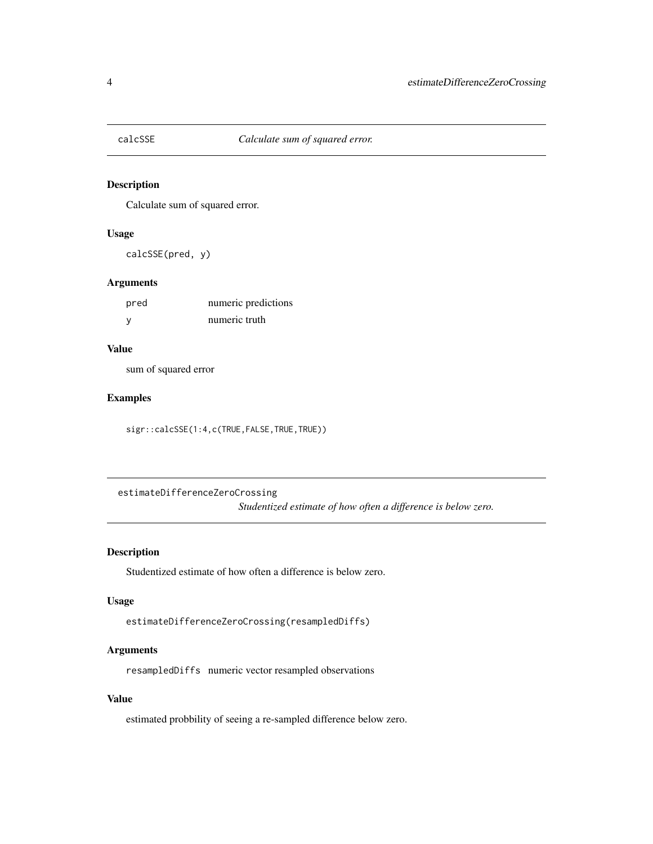<span id="page-3-0"></span>

# Description

Calculate sum of squared error.

# Usage

calcSSE(pred, y)

### Arguments

| pred | numeric predictions |
|------|---------------------|
|      | numeric truth       |

# Value

sum of squared error

# Examples

sigr::calcSSE(1:4,c(TRUE,FALSE,TRUE,TRUE))

estimateDifferenceZeroCrossing *Studentized estimate of how often a difference is below zero.*

# Description

Studentized estimate of how often a difference is below zero.

### Usage

```
estimateDifferenceZeroCrossing(resampledDiffs)
```
# Arguments

resampledDiffs numeric vector resampled observations

# Value

estimated probbility of seeing a re-sampled difference below zero.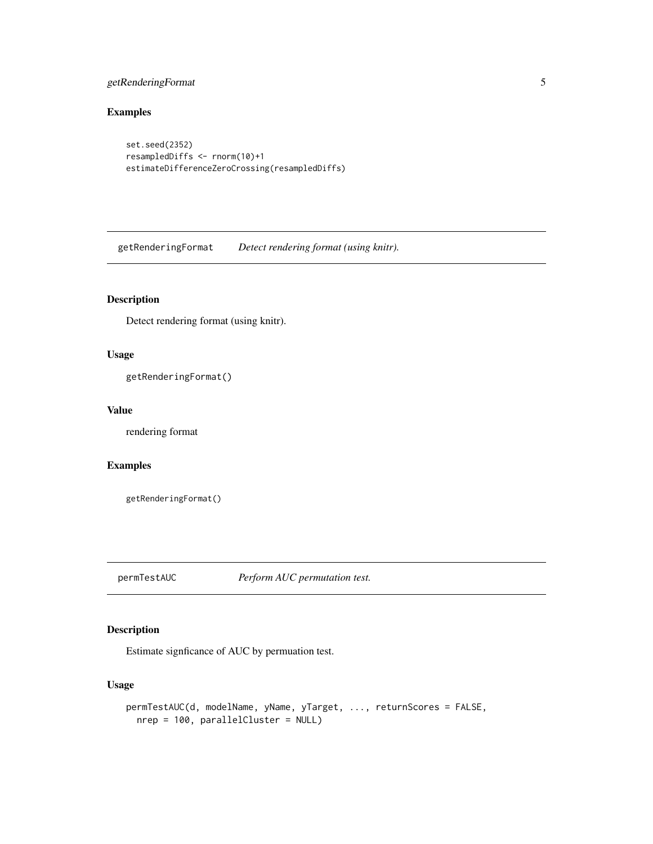# <span id="page-4-0"></span>getRenderingFormat 5

# Examples

```
set.seed(2352)
resampledDiffs <- rnorm(10)+1
estimateDifferenceZeroCrossing(resampledDiffs)
```
getRenderingFormat *Detect rendering format (using knitr).*

# Description

Detect rendering format (using knitr).

### Usage

getRenderingFormat()

### Value

rendering format

# Examples

getRenderingFormat()

permTestAUC *Perform AUC permutation test.*

# Description

Estimate signficance of AUC by permuation test.

```
permTestAUC(d, modelName, yName, yTarget, ..., returnScores = FALSE,
 nrep = 100, parallelCluster = NULL)
```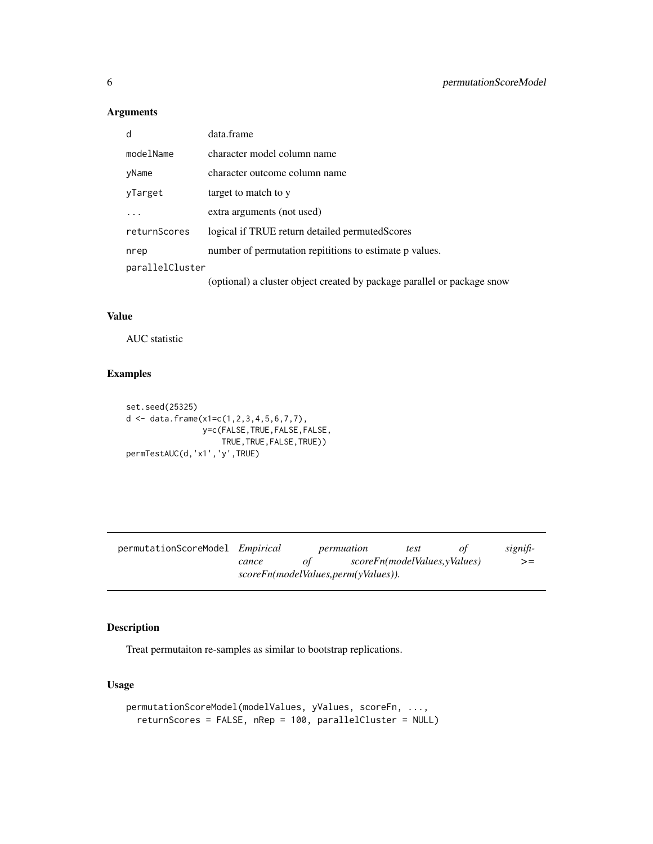<span id="page-5-0"></span>

| d               | data.frame                                                              |
|-----------------|-------------------------------------------------------------------------|
| modelName       | character model column name                                             |
| yName           | character outcome column name                                           |
| yTarget         | target to match to y                                                    |
|                 | extra arguments (not used)                                              |
| returnScores    | logical if TRUE return detailed permuted Scores                         |
| nrep            | number of permutation repititions to estimate p values.                 |
| parallelCluster |                                                                         |
|                 | (optional) a cluster object created by package parallel or package snow |

# Value

AUC statistic

# Examples

```
set.seed(25325)
d \leq data.frame(x1=c(1,2,3,4,5,6,7,7),
                y=c(FALSE,TRUE,FALSE,FALSE,
                   TRUE,TRUE,FALSE,TRUE))
permTestAUC(d,'x1','y',TRUE)
```

| permutationScoreModel <i>Empirical</i> |       |    | permuation                          | test                         | signifi- |
|----------------------------------------|-------|----|-------------------------------------|------------------------------|----------|
|                                        | cance | οt |                                     | scoreFn(modelValues,yValues) | $>=$     |
|                                        |       |    | scoreFn(modelValues,perm(yValues)). |                              |          |

# Description

Treat permutaiton re-samples as similar to bootstrap replications.

```
permutationScoreModel(modelValues, yValues, scoreFn, ...,
  returnScores = FALSE, nRep = 100, parallelCluster = NULL)
```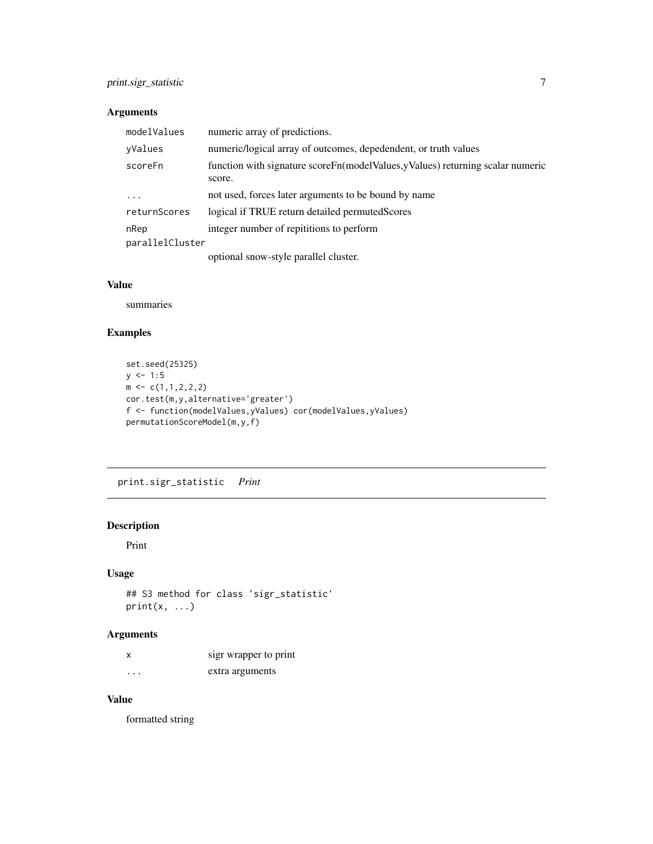<span id="page-6-0"></span>

| modelValues     | numeric array of predictions.                                                               |
|-----------------|---------------------------------------------------------------------------------------------|
| yValues         | numeric/logical array of outcomes, depedendent, or truth values                             |
| scoreFn         | function with signature score Fn(model Values, y Values) returning scalar numeric<br>score. |
| $\ddots$        | not used, forces later arguments to be bound by name                                        |
| returnScores    | logical if TRUE return detailed permuted Scores                                             |
| nRep            | integer number of repititions to perform                                                    |
| parallelCluster |                                                                                             |
|                 |                                                                                             |

optional snow-style parallel cluster.

# Value

summaries

# Examples

```
set.seed(25325)
y \le -1:5m \leftarrow c(1,1,2,2,2)cor.test(m,y,alternative='greater')
f <- function(modelValues,yValues) cor(modelValues,yValues)
permutationScoreModel(m,y,f)
```
print.sigr\_statistic *Print*

# Description

Print

### Usage

```
## S3 method for class 'sigr_statistic'
print(x, \ldots)
```
# Arguments

|   | sigr wrapper to print |
|---|-----------------------|
| . | extra arguments       |

# Value

formatted string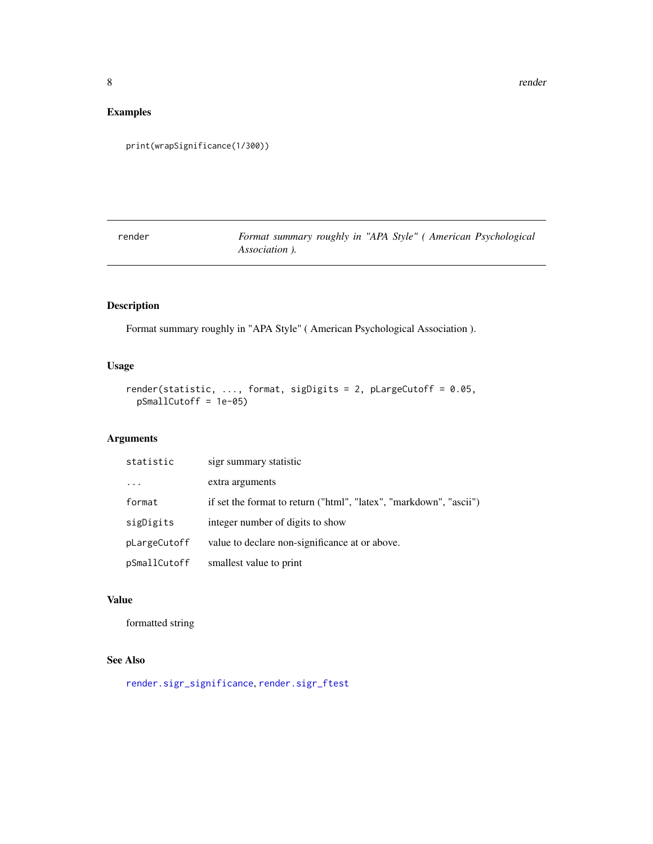# <span id="page-7-0"></span>Examples

```
print(wrapSignificance(1/300))
```
render *Format summary roughly in "APA Style" ( American Psychological Association ).*

# Description

Format summary roughly in "APA Style" ( American Psychological Association ).

# Usage

```
render(statistic, ..., format, sigDigits = 2, pLargeCutoff = 0.05,
 pSmallCutoff = 1e-05)
```
# Arguments

| statistic    | sigr summary statistic                                             |
|--------------|--------------------------------------------------------------------|
| $\ddots$ .   | extra arguments                                                    |
| format       | if set the format to return ("html", "latex", "markdown", "ascii") |
| sigDigits    | integer number of digits to show                                   |
| pLargeCutoff | value to declare non-significance at or above.                     |
| pSmallCutoff | smallest value to print                                            |

### Value

formatted string

# See Also

[render.sigr\\_significance](#page-14-1), [render.sigr\\_ftest](#page-13-1)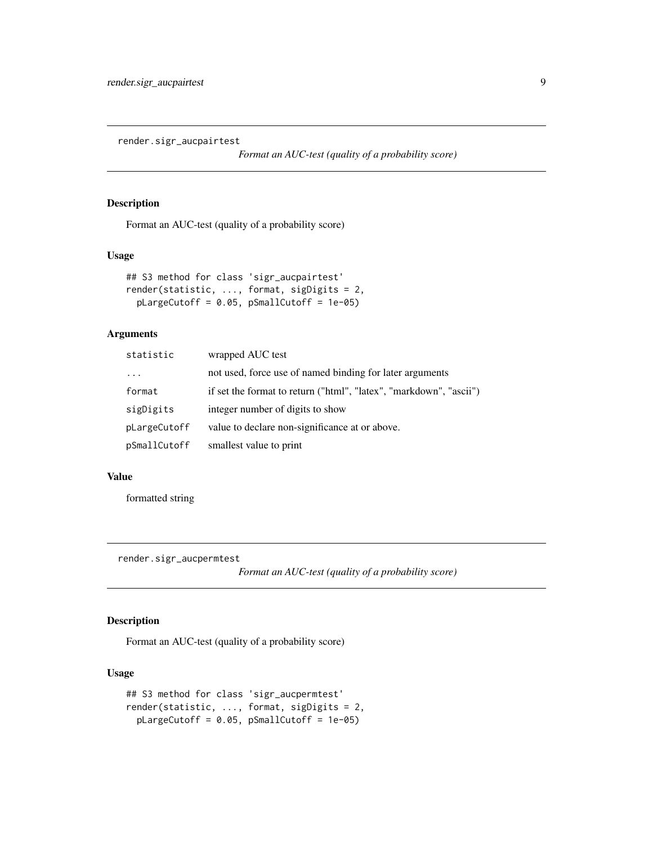<span id="page-8-0"></span>render.sigr\_aucpairtest

*Format an AUC-test (quality of a probability score)*

# Description

Format an AUC-test (quality of a probability score)

### Usage

```
## S3 method for class 'sigr_aucpairtest'
render(statistic, ..., format, sigDigits = 2,
 pLargeCutoff = 0.05, pSmallCutoff = 1e-05)
```
# Arguments

| statistic    | wrapped AUC test                                                   |
|--------------|--------------------------------------------------------------------|
| $\cdots$     | not used, force use of named binding for later arguments           |
| format       | if set the format to return ("html", "latex", "markdown", "ascii") |
| sigDigits    | integer number of digits to show                                   |
| pLargeCutoff | value to declare non-significance at or above.                     |
| pSmallCutoff | smallest value to print                                            |

### Value

formatted string

render.sigr\_aucpermtest

*Format an AUC-test (quality of a probability score)*

# Description

Format an AUC-test (quality of a probability score)

```
## S3 method for class 'sigr_aucpermtest'
render(statistic, ..., format, sigDigits = 2,
 pLargeCutoff = 0.05, pSmallCutoff = 1e-05)
```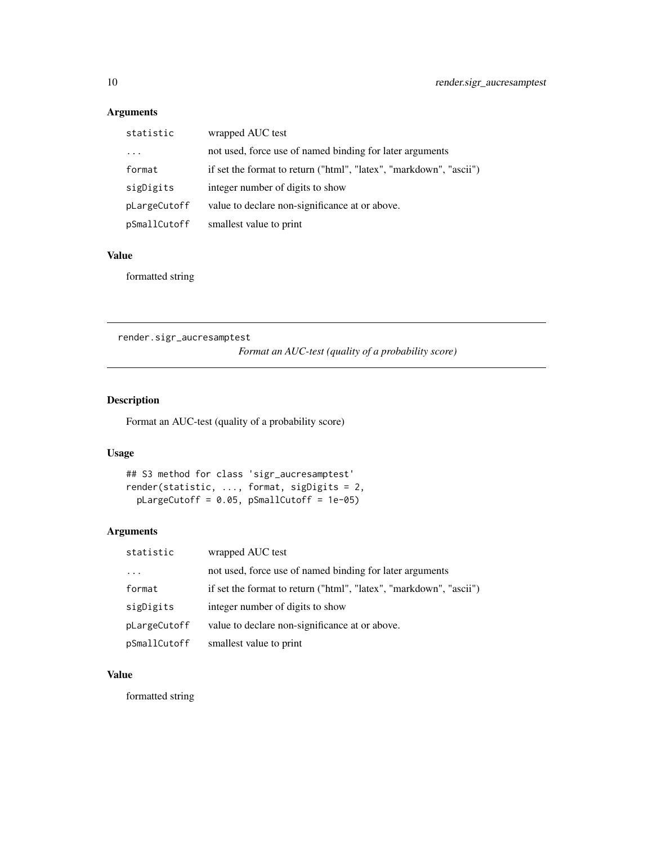| statistic    | wrapped AUC test                                                   |
|--------------|--------------------------------------------------------------------|
|              | not used, force use of named binding for later arguments           |
| format       | if set the format to return ("html", "latex", "markdown", "ascii") |
| sigDigits    | integer number of digits to show                                   |
| pLargeCutoff | value to declare non-significance at or above.                     |
| pSmallCutoff | smallest value to print                                            |

### Value

formatted string

render.sigr\_aucresamptest

*Format an AUC-test (quality of a probability score)*

# Description

Format an AUC-test (quality of a probability score)

# Usage

## S3 method for class 'sigr\_aucresamptest' render(statistic, ..., format, sigDigits = 2, pLargeCutoff = 0.05, pSmallCutoff = 1e-05)

# Arguments

| statistic    | wrapped AUC test                                                   |
|--------------|--------------------------------------------------------------------|
| $\cdots$     | not used, force use of named binding for later arguments           |
| format       | if set the format to return ("html", "latex", "markdown", "ascii") |
| sigDigits    | integer number of digits to show                                   |
| pLargeCutoff | value to declare non-significance at or above.                     |
| pSmallCutoff | smallest value to print                                            |

# Value

formatted string

<span id="page-9-0"></span>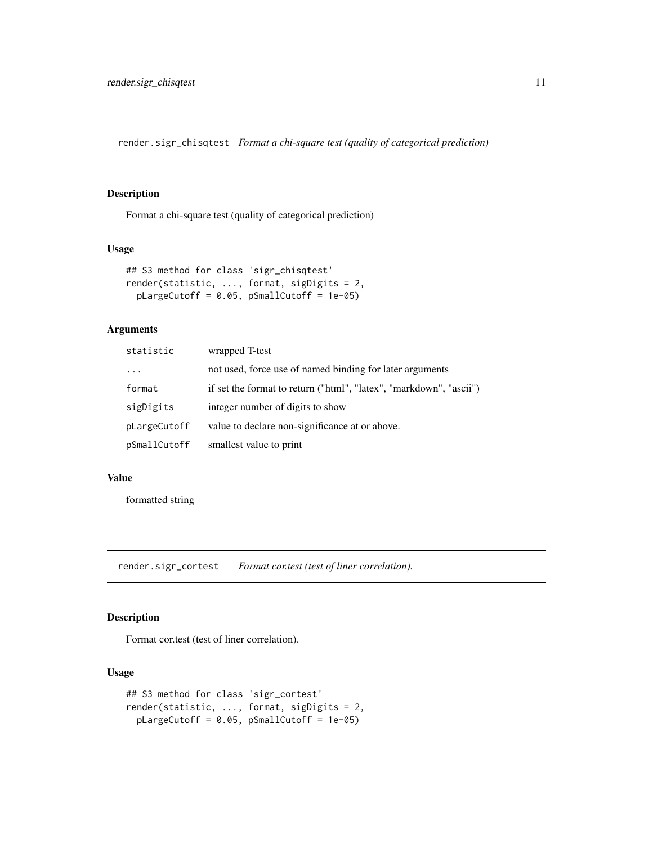<span id="page-10-0"></span>render.sigr\_chisqtest *Format a chi-square test (quality of categorical prediction)*

# Description

Format a chi-square test (quality of categorical prediction)

### Usage

```
## S3 method for class 'sigr_chisqtest'
render(statistic, ..., format, sigDigits = 2,
 pLargeCutoff = 0.05, pSmallCutoff = 1e-05)
```
# Arguments

| statistic    | wrapped T-test                                                     |
|--------------|--------------------------------------------------------------------|
| $\ddots$ .   | not used, force use of named binding for later arguments           |
| format       | if set the format to return ("html", "latex", "markdown", "ascii") |
| sigDigits    | integer number of digits to show                                   |
| pLargeCutoff | value to declare non-significance at or above.                     |
| pSmallCutoff | smallest value to print                                            |

### Value

formatted string

render.sigr\_cortest *Format cor.test (test of liner correlation).*

### Description

Format cor.test (test of liner correlation).

```
## S3 method for class 'sigr_cortest'
render(statistic, ..., format, sigDigits = 2,
 pLargeCutoff = 0.05, pSmallCutoff = 1e-05)
```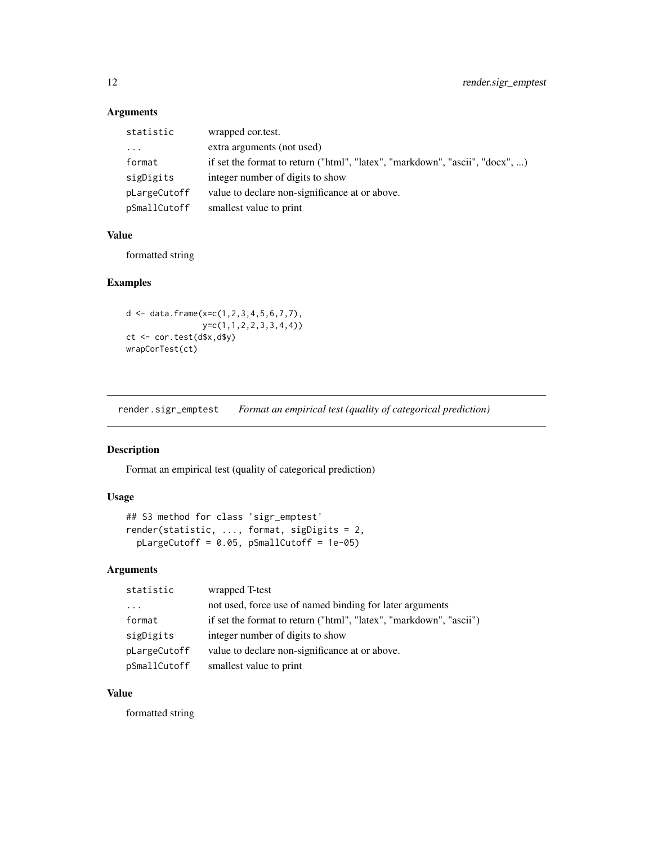| statistic    | wrapped cortest.                                                             |
|--------------|------------------------------------------------------------------------------|
| $\ddotsc$    | extra arguments (not used)                                                   |
| format       | if set the format to return ("html", "latex", "markdown", "ascii", "docx", ) |
| sigDigits    | integer number of digits to show                                             |
| pLargeCutoff | value to declare non-significance at or above.                               |
| pSmallCutoff | smallest value to print                                                      |

# Value

formatted string

### Examples

```
d <- data.frame(x=c(1,2,3,4,5,6,7,7),
              y=c(1,1,2,2,3,3,4,4))
ct <- cor.test(d$x,d$y)
wrapCorTest(ct)
```
render.sigr\_emptest *Format an empirical test (quality of categorical prediction)*

### Description

Format an empirical test (quality of categorical prediction)

# Usage

```
## S3 method for class 'sigr_emptest'
render(statistic, ..., format, sigDigits = 2,
 pLargeCutoff = 0.05, pSmallCutoff = 1e-05)
```
# Arguments

| statistic    | wrapped T-test                                                     |
|--------------|--------------------------------------------------------------------|
| .            | not used, force use of named binding for later arguments           |
| format       | if set the format to return ("html", "latex", "markdown", "ascii") |
| sigDigits    | integer number of digits to show                                   |
| pLargeCutoff | value to declare non-significance at or above.                     |
| pSmallCutoff | smallest value to print                                            |

# Value

formatted string

<span id="page-11-0"></span>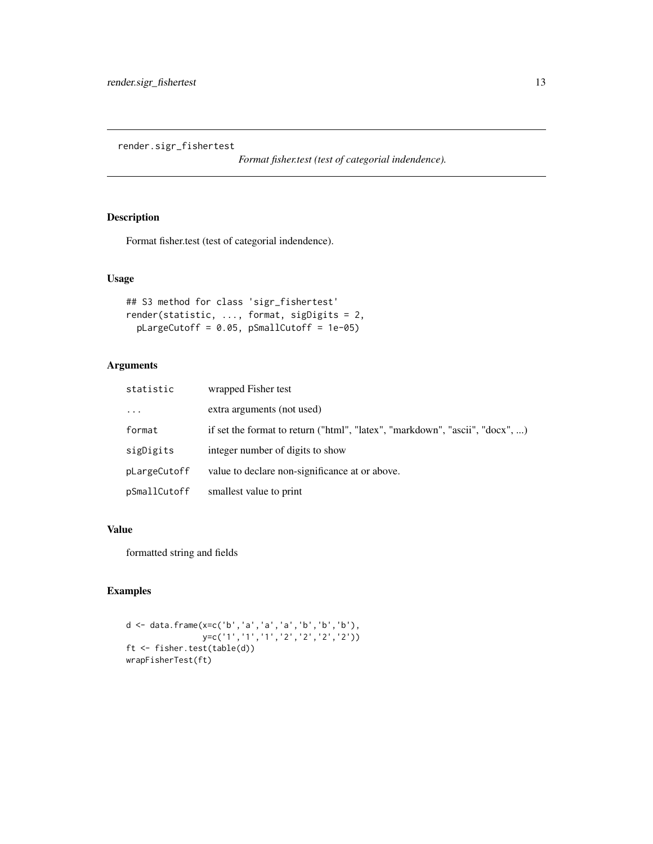<span id="page-12-0"></span>render.sigr\_fishertest

*Format fisher.test (test of categorial indendence).*

# Description

Format fisher.test (test of categorial indendence).

# Usage

```
## S3 method for class 'sigr_fishertest'
render(statistic, ..., format, sigDigits = 2,
 pLargeCutoff = 0.05, pSmallCutoff = 1e-05)
```
# Arguments

| statistic    | wrapped Fisher test                                                          |
|--------------|------------------------------------------------------------------------------|
| $\ddots$     | extra arguments (not used)                                                   |
| format       | if set the format to return ("html", "latex", "markdown", "ascii", "docx", ) |
| sigDigits    | integer number of digits to show                                             |
| pLargeCutoff | value to declare non-significance at or above.                               |
| pSmallCutoff | smallest value to print                                                      |

## Value

formatted string and fields

```
d <- data.frame(x=c('b','a','a','a','b','b','b'),
               y=c('1','1','1','2','2','2','2'))
ft <- fisher.test(table(d))
wrapFisherTest(ft)
```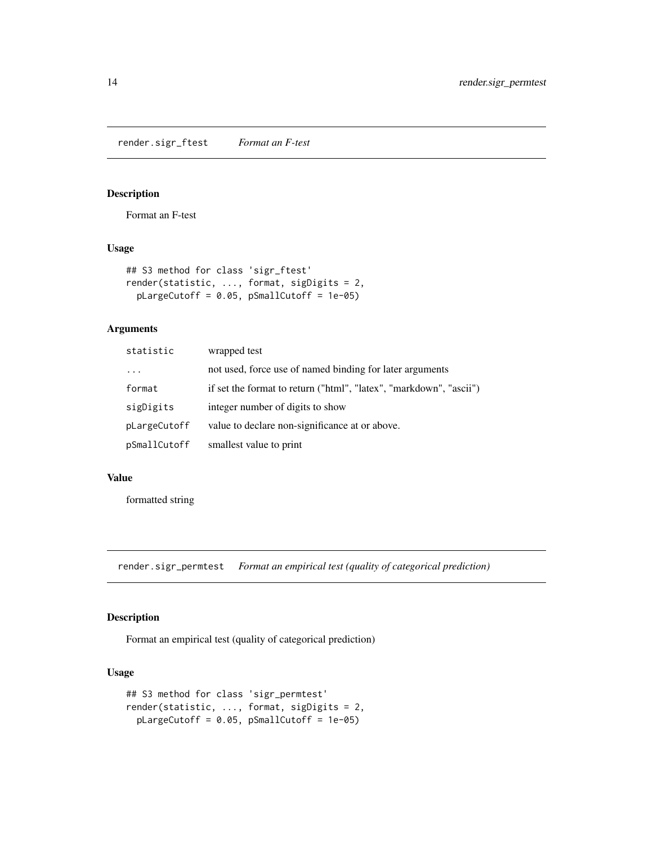<span id="page-13-1"></span><span id="page-13-0"></span>render.sigr\_ftest *Format an F-test*

# Description

Format an F-test

### Usage

```
## S3 method for class 'sigr_ftest'
render(statistic, ..., format, sigDigits = 2,
 pLargeCutoff = 0.05, pSmallCutoff = 1e-05)
```
# Arguments

| statistic    | wrapped test                                                       |
|--------------|--------------------------------------------------------------------|
| $\cdot$      | not used, force use of named binding for later arguments           |
| format       | if set the format to return ("html", "latex", "markdown", "ascii") |
| sigDigits    | integer number of digits to show                                   |
| pLargeCutoff | value to declare non-significance at or above.                     |
| pSmallCutoff | smallest value to print                                            |

### Value

formatted string

render.sigr\_permtest *Format an empirical test (quality of categorical prediction)*

### Description

Format an empirical test (quality of categorical prediction)

```
## S3 method for class 'sigr_permtest'
render(statistic, ..., format, sigDigits = 2,
 pLargeCutoff = 0.05, pSmallCutoff = 1e-05)
```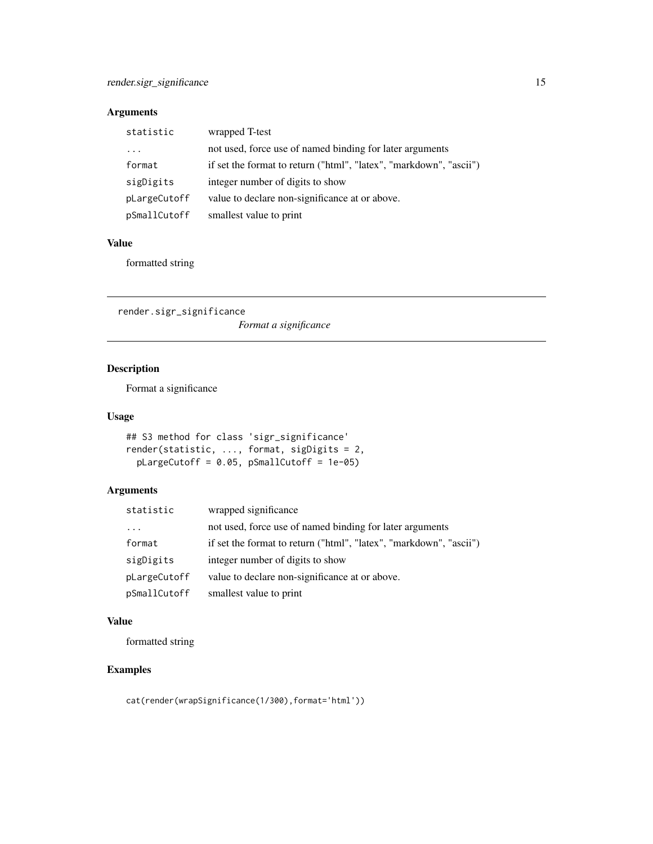<span id="page-14-0"></span>

| statistic    | wrapped T-test                                                     |
|--------------|--------------------------------------------------------------------|
| $\cdots$     | not used, force use of named binding for later arguments           |
| format       | if set the format to return ("html", "latex", "markdown", "ascii") |
| sigDigits    | integer number of digits to show                                   |
| pLargeCutoff | value to declare non-significance at or above.                     |
| pSmallCutoff | smallest value to print                                            |

# Value

formatted string

<span id="page-14-1"></span>render.sigr\_significance *Format a significance*

# Description

Format a significance

### Usage

```
## S3 method for class 'sigr_significance'
render(statistic, ..., format, sigDigits = 2,
  pLargeCutoff = 0.05, pSmallCutoff = 1e-05)
```
# Arguments

| statistic    | wrapped significance                                               |
|--------------|--------------------------------------------------------------------|
| $\cdots$     | not used, force use of named binding for later arguments           |
| format       | if set the format to return ("html", "latex", "markdown", "ascii") |
| sigDigits    | integer number of digits to show                                   |
| pLargeCutoff | value to declare non-significance at or above.                     |
| pSmallCutoff | smallest value to print                                            |

### Value

formatted string

# Examples

cat(render(wrapSignificance(1/300),format='html'))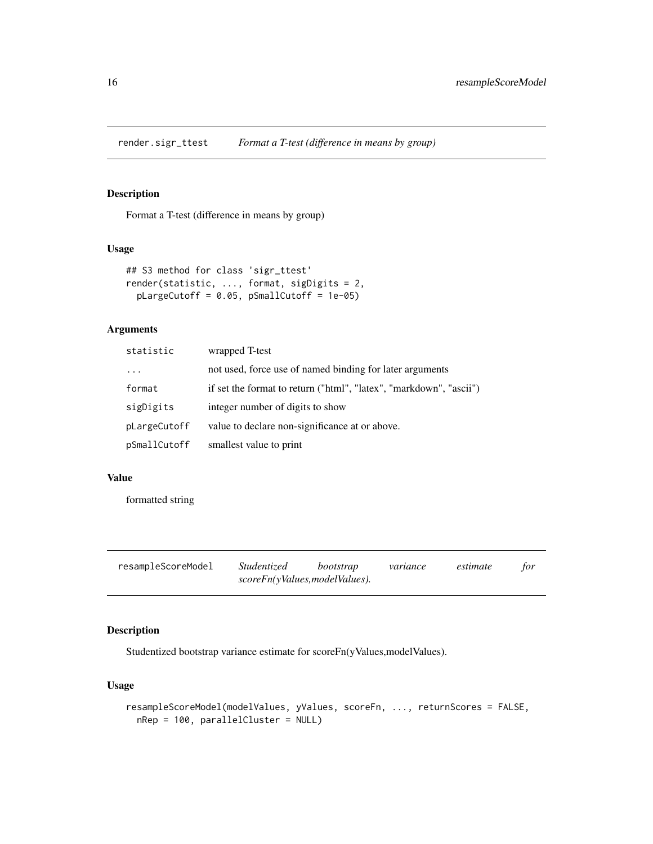<span id="page-15-0"></span>render.sigr\_ttest *Format a T-test (difference in means by group)*

# Description

Format a T-test (difference in means by group)

### Usage

```
## S3 method for class 'sigr_ttest'
render(statistic, ..., format, sigDigits = 2,
 pLargeCutoff = 0.05, pSmallCutoff = 1e-05)
```
# Arguments

| statistic    | wrapped T-test                                                     |
|--------------|--------------------------------------------------------------------|
| $\cdot$      | not used, force use of named binding for later arguments           |
| format       | if set the format to return ("html", "latex", "markdown", "ascii") |
| sigDigits    | integer number of digits to show                                   |
| pLargeCutoff | value to declare non-significance at or above.                     |
| pSmallCutoff | smallest value to print                                            |

### Value

formatted string

| resampleScoreModel | <i>Studentized</i>            | bootstrap | variance | estimate | for |
|--------------------|-------------------------------|-----------|----------|----------|-----|
|                    | scoreFn(yValues,modelValues). |           |          |          |     |

# Description

Studentized bootstrap variance estimate for scoreFn(yValues,modelValues).

```
resampleScoreModel(modelValues, yValues, scoreFn, ..., returnScores = FALSE,
 nRep = 100, parallelCluster = NULL)
```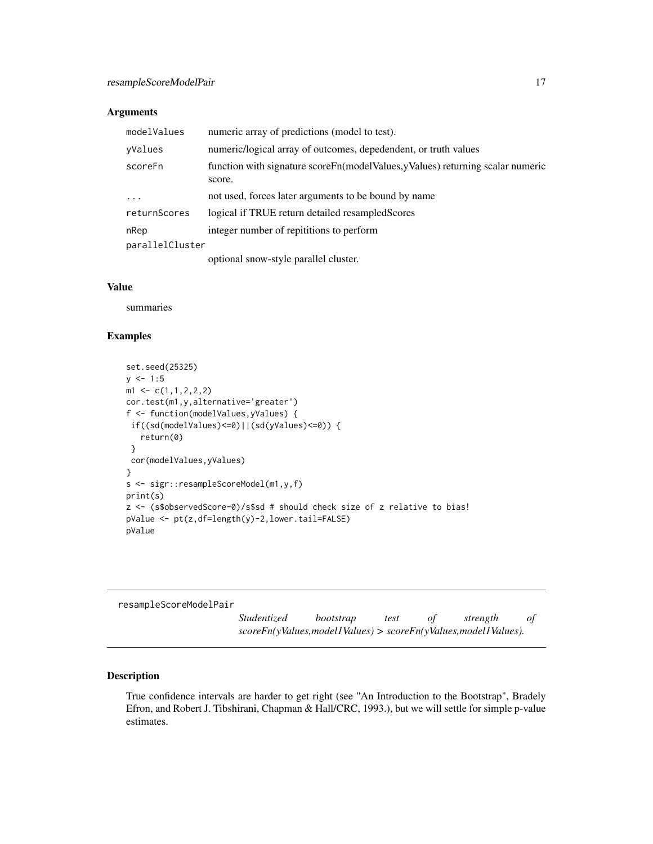<span id="page-16-0"></span>

| modelValues     | numeric array of predictions (model to test).                                            |
|-----------------|------------------------------------------------------------------------------------------|
| yValues         | numeric/logical array of outcomes, depedendent, or truth values                          |
| scoreFn         | function with signature scoreFn(modelValues, yValues) returning scalar numeric<br>score. |
| $\ddots$ .      | not used, forces later arguments to be bound by name                                     |
| returnScores    | logical if TRUE return detailed resampled Scores                                         |
| nRep            | integer number of repititions to perform                                                 |
| parallelCluster |                                                                                          |
|                 | optional snow-style parallel cluster.                                                    |

### Value

summaries

### Examples

```
set.seed(25325)
y \le -1:5m1 \leq c(1,1,2,2,2)cor.test(m1,y,alternative='greater')
f <- function(modelValues,yValues) {
 if((sd(modelValues)<=0)||(sd(yValues)<=0)) {
   return(0)
 }
 cor(modelValues,yValues)
}
s <- sigr::resampleScoreModel(m1,y,f)
print(s)
z <- (s$observedScore-0)/s$sd # should check size of z relative to bias!
pValue <- pt(z,df=length(y)-2,lower.tail=FALSE)
pValue
```
resampleScoreModelPair

*Studentized bootstrap test of strength of scoreFn(yValues,model1Values) > scoreFn(yValues,model1Values).*

# Description

True confidence intervals are harder to get right (see "An Introduction to the Bootstrap", Bradely Efron, and Robert J. Tibshirani, Chapman & Hall/CRC, 1993.), but we will settle for simple p-value estimates.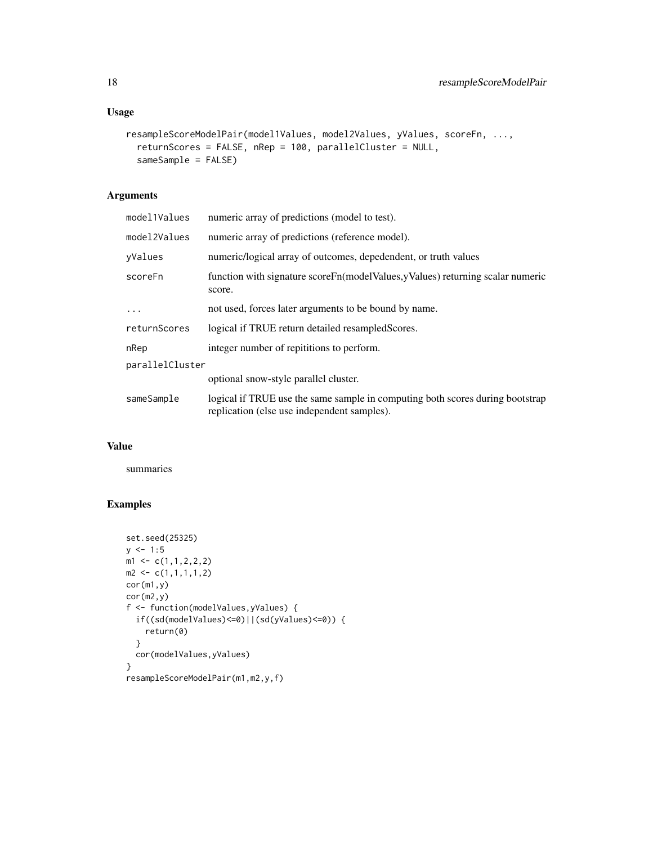# Usage

```
resampleScoreModelPair(model1Values, model2Values, yValues, scoreFn, ...,
  returnScores = FALSE, nRep = 100, parallelCluster = NULL,
  sameSample = FALSE)
```
# Arguments

| model1Values    | numeric array of predictions (model to test).                                                                                |  |
|-----------------|------------------------------------------------------------------------------------------------------------------------------|--|
| model2Values    | numeric array of predictions (reference model).                                                                              |  |
| vValues         | numeric/logical array of outcomes, depedendent, or truth values                                                              |  |
| scoreFn         | function with signature score Fn(model Values, y Values) returning scalar numeric<br>score.                                  |  |
| $\cdots$        | not used, forces later arguments to be bound by name.                                                                        |  |
| returnScores    | logical if TRUE return detailed resampled Scores.                                                                            |  |
| nRep            | integer number of repititions to perform.                                                                                    |  |
| parallelCluster |                                                                                                                              |  |
|                 | optional snow-style parallel cluster.                                                                                        |  |
| sameSample      | logical if TRUE use the same sample in computing both scores during bootstrap<br>replication (else use independent samples). |  |

# Value

summaries

```
set.seed(25325)
y \le -1:5m1 \leftarrow c(1,1,2,2,2)m2 \leftarrow c(1,1,1,1,2)cor(m1,y)
cor(m2,y)
f <- function(modelValues,yValues) {
  if((sd(modelValues)<=0)||(sd(yValues)<=0)) {
    return(0)
  }
  cor(modelValues,yValues)
}
resampleScoreModelPair(m1,m2,y,f)
```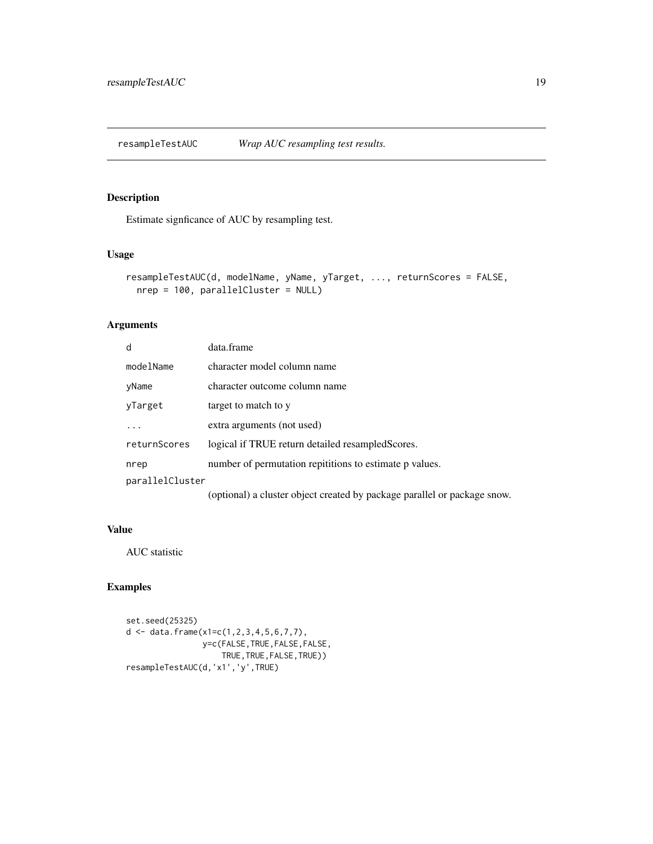<span id="page-18-0"></span>resampleTestAUC *Wrap AUC resampling test results.*

# Description

Estimate signficance of AUC by resampling test.

### Usage

```
resampleTestAUC(d, modelName, yName, yTarget, ..., returnScores = FALSE,
 nrep = 100, parallelCluster = NULL)
```
# Arguments

| d               | data.frame                                                               |
|-----------------|--------------------------------------------------------------------------|
| modelName       | character model column name                                              |
| yName           | character outcome column name                                            |
| yTarget         | target to match to y                                                     |
| $\cdot$         | extra arguments (not used)                                               |
| returnScores    | logical if TRUE return detailed resampled Scores.                        |
| nrep            | number of permutation repititions to estimate p values.                  |
| parallelCluster |                                                                          |
|                 | (optional) a cluster object created by package parallel or package snow. |

### Value

AUC statistic

```
set.seed(25325)
d <- data.frame(x1=c(1,2,3,4,5,6,7,7),
               y=c(FALSE,TRUE,FALSE,FALSE,
                    TRUE,TRUE,FALSE,TRUE))
resampleTestAUC(d,'x1','y',TRUE)
```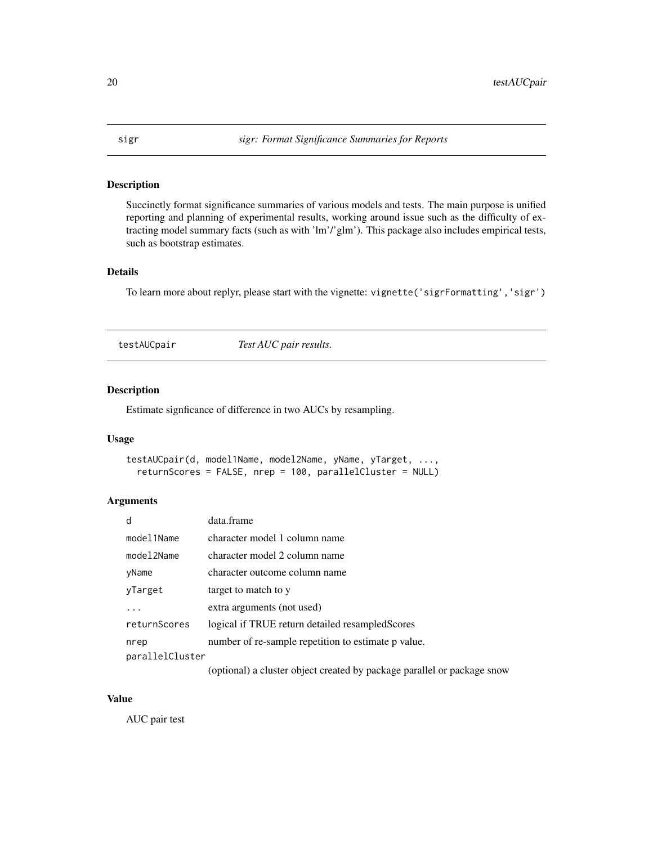### <span id="page-19-0"></span>Description

Succinctly format significance summaries of various models and tests. The main purpose is unified reporting and planning of experimental results, working around issue such as the difficulty of extracting model summary facts (such as with 'lm'/'glm'). This package also includes empirical tests, such as bootstrap estimates.

### Details

To learn more about replyr, please start with the vignette: vignette('sigrFormatting','sigr')

testAUCpair *Test AUC pair results.*

# Description

Estimate signficance of difference in two AUCs by resampling.

# Usage

```
testAUCpair(d, model1Name, model2Name, yName, yTarget, ...,
  returnScores = FALSE, nrep = 100, parallelCluster = NULL)
```
### Arguments

| d               | data.frame                                                         |
|-----------------|--------------------------------------------------------------------|
| model1Name      | character model 1 column name                                      |
| model2Name      | character model 2 column name                                      |
| yName           | character outcome column name                                      |
| yTarget         | target to match to y                                               |
|                 | extra arguments (not used)                                         |
| returnScores    | logical if TRUE return detailed resampled Scores                   |
| nrep            | number of re-sample repetition to estimate p value.                |
| parallelCluster |                                                                    |
|                 | (optional) a gluetar object greated by peakage perallel or peakage |

(optional) a cluster object created by package parallel or package snow

# Value

AUC pair test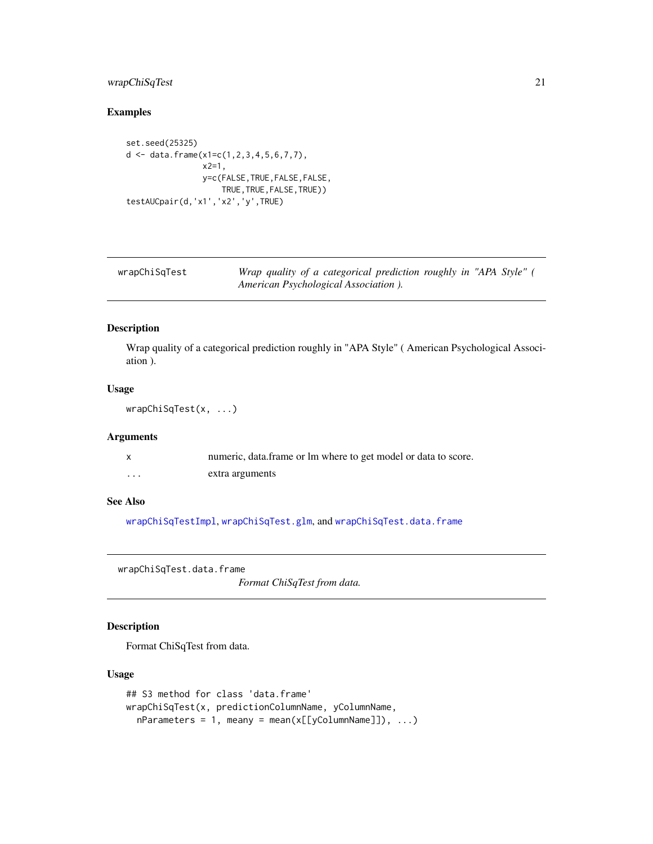# <span id="page-20-0"></span>wrapChiSqTest 21

# Examples

```
set.seed(25325)
d <- data.frame(x1=c(1,2,3,4,5,6,7,7),
               x2=1,
                y=c(FALSE,TRUE,FALSE,FALSE,
                    TRUE,TRUE,FALSE,TRUE))
testAUCpair(d,'x1','x2','y',TRUE)
```

| wrapChiSqTest | Wrap quality of a categorical prediction roughly in "APA Style" ( |
|---------------|-------------------------------------------------------------------|
|               | American Psychological Association ).                             |

# Description

Wrap quality of a categorical prediction roughly in "APA Style" ( American Psychological Association ).

# Usage

```
wrapChiSqTest(x, ...)
```
# Arguments

|   | numeric, data frame or lm where to get model or data to score. |
|---|----------------------------------------------------------------|
| . | extra arguments                                                |

# See Also

[wrapChiSqTestImpl](#page-22-1), [wrapChiSqTest.glm](#page-21-1), and [wrapChiSqTest.data.frame](#page-20-1)

<span id="page-20-1"></span>wrapChiSqTest.data.frame

*Format ChiSqTest from data.*

# Description

Format ChiSqTest from data.

```
## S3 method for class 'data.frame'
wrapChiSqTest(x, predictionColumnName, yColumnName,
 nParameters = 1, meany = mean(x[[yColumnName]]), ...)
```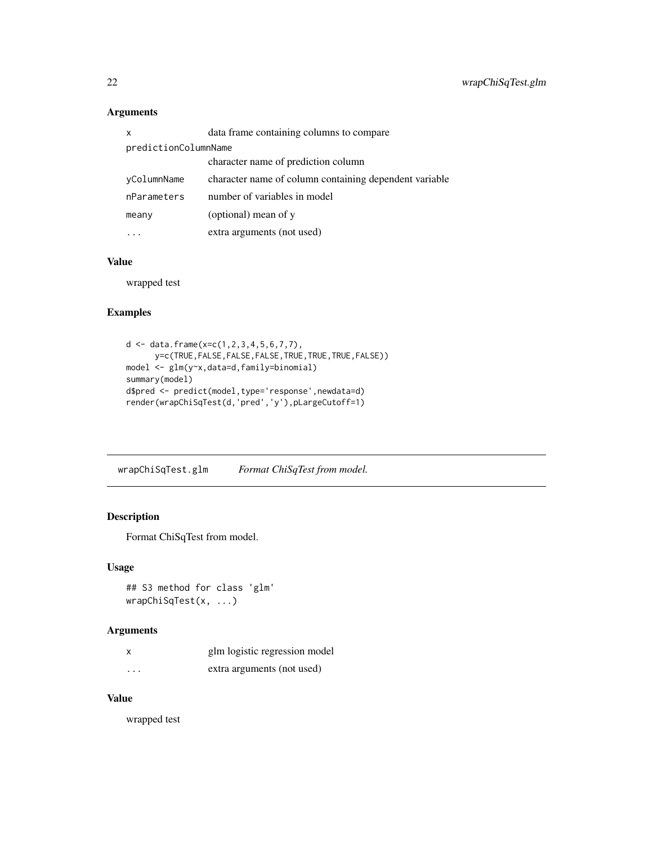| X                    | data frame containing columns to compare               |  |
|----------------------|--------------------------------------------------------|--|
| predictionColumnName |                                                        |  |
|                      | character name of prediction column                    |  |
| yColumnName          | character name of column containing dependent variable |  |
| nParameters          | number of variables in model                           |  |
| meany                | (optional) mean of y                                   |  |
|                      | extra arguments (not used)                             |  |

# Value

wrapped test

# Examples

```
d <- data.frame(x=c(1,2,3,4,5,6,7,7),
      y=c(TRUE,FALSE,FALSE,FALSE,TRUE,TRUE,TRUE,FALSE))
model <- glm(y~x,data=d,family=binomial)
summary(model)
d$pred <- predict(model,type='response',newdata=d)
render(wrapChiSqTest(d,'pred','y'),pLargeCutoff=1)
```
<span id="page-21-1"></span>wrapChiSqTest.glm *Format ChiSqTest from model.*

# Description

Format ChiSqTest from model.

# Usage

```
## S3 method for class 'glm'
wrapChiSqTest(x, ...)
```
# Arguments

|          | glm logistic regression model |
|----------|-------------------------------|
| $\cdots$ | extra arguments (not used)    |

# Value

wrapped test

<span id="page-21-0"></span>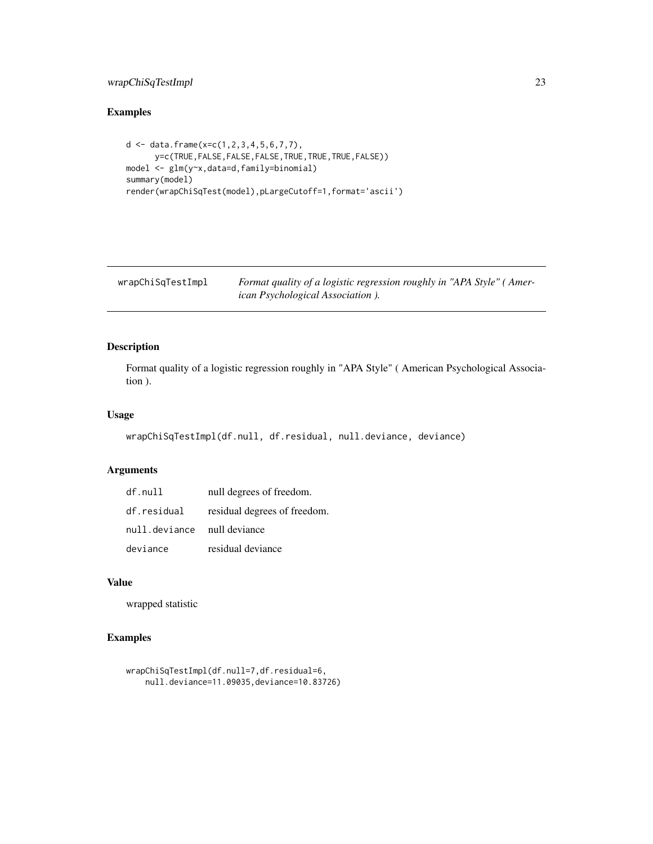# <span id="page-22-0"></span>wrapChiSqTestImpl 23

# Examples

```
d <- data.frame(x=c(1,2,3,4,5,6,7,7),
      y=c(TRUE,FALSE,FALSE,FALSE,TRUE,TRUE,TRUE,FALSE))
model <- glm(y~x,data=d,family=binomial)
summary(model)
render(wrapChiSqTest(model),pLargeCutoff=1,format='ascii')
```
<span id="page-22-1"></span>wrapChiSqTestImpl *Format quality of a logistic regression roughly in "APA Style" ( American Psychological Association ).*

# Description

Format quality of a logistic regression roughly in "APA Style" ( American Psychological Association ).

# Usage

wrapChiSqTestImpl(df.null, df.residual, null.deviance, deviance)

### Arguments

| df.null                     | null degrees of freedom.                 |
|-----------------------------|------------------------------------------|
|                             | df.residual residual degrees of freedom. |
| null.deviance null deviance |                                          |
| deviance                    | residual deviance                        |

### Value

wrapped statistic

```
wrapChiSqTestImpl(df.null=7,df.residual=6,
   null.deviance=11.09035,deviance=10.83726)
```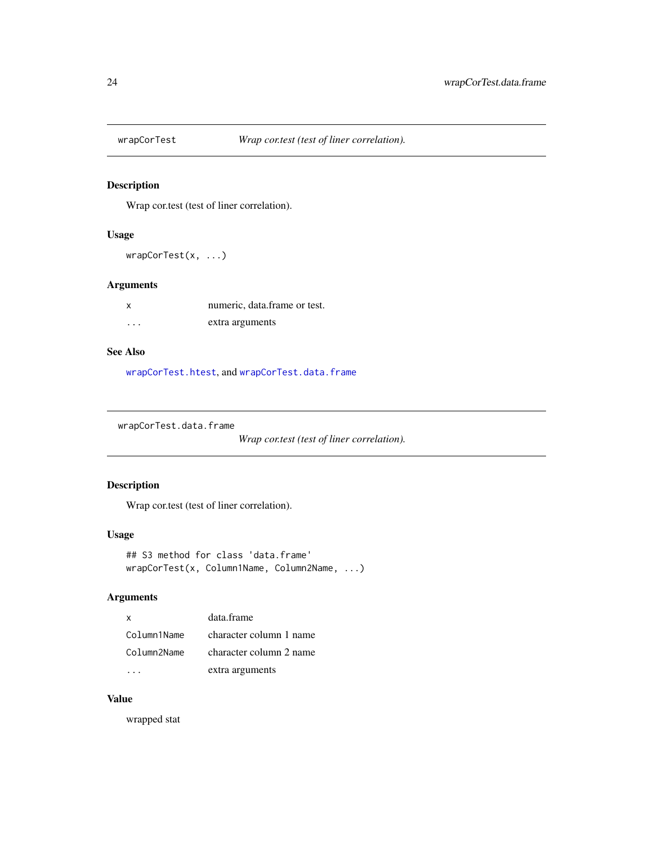<span id="page-23-0"></span>

# Description

Wrap cor.test (test of liner correlation).

# Usage

wrapCorTest(x, ...)

# Arguments

| X        | numeric, data, frame or test. |
|----------|-------------------------------|
| $\cdots$ | extra arguments               |

### See Also

[wrapCorTest.htest](#page-24-1), and [wrapCorTest.data.frame](#page-23-1)

<span id="page-23-1"></span>wrapCorTest.data.frame

*Wrap cor.test (test of liner correlation).*

# Description

Wrap cor.test (test of liner correlation).

### Usage

```
## S3 method for class 'data.frame'
wrapCorTest(x, Column1Name, Column2Name, ...)
```
# Arguments

| $\mathbf{x}$ | data.frame              |
|--------------|-------------------------|
| Column1Name  | character column 1 name |
| Column2Name  | character column 2 name |
|              | extra arguments         |

# Value

wrapped stat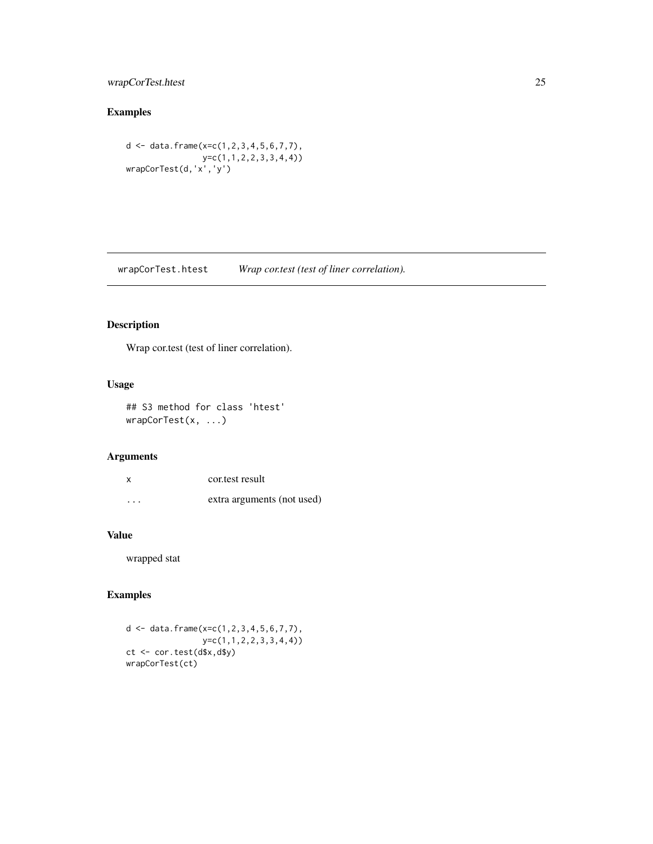# <span id="page-24-0"></span>wrapCorTest.htest 25

# Examples

d <- data.frame(x=c(1,2,3,4,5,6,7,7), y=c(1,1,2,2,3,3,4,4)) wrapCorTest(d,'x','y')

<span id="page-24-1"></span>wrapCorTest.htest *Wrap cor.test (test of liner correlation).*

# Description

Wrap cor.test (test of liner correlation).

# Usage

```
## S3 method for class 'htest'
wrapCorTest(x, ...)
```
# Arguments

| X        | cortest result             |
|----------|----------------------------|
| $\cdots$ | extra arguments (not used) |

# Value

wrapped stat

```
d <- data.frame(x=c(1,2,3,4,5,6,7,7),
               y=c(1,1,2,2,3,3,4,4))
ct <- cor.test(d$x,d$y)
wrapCorTest(ct)
```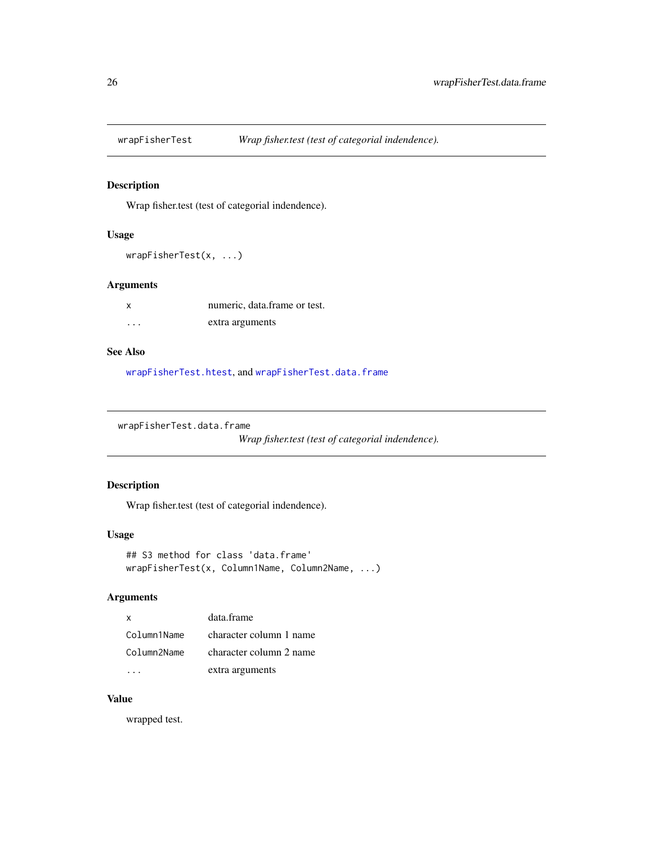<span id="page-25-0"></span>

# Description

Wrap fisher.test (test of categorial indendence).

# Usage

wrapFisherTest(x, ...)

# Arguments

| X        | numeric, data, frame or test. |
|----------|-------------------------------|
| $\cdots$ | extra arguments               |

### See Also

[wrapFisherTest.htest](#page-26-1), and [wrapFisherTest.data.frame](#page-25-1)

<span id="page-25-1"></span>wrapFisherTest.data.frame

*Wrap fisher.test (test of categorial indendence).*

# Description

Wrap fisher.test (test of categorial indendence).

### Usage

```
## S3 method for class 'data.frame'
wrapFisherTest(x, Column1Name, Column2Name, ...)
```
# Arguments

| X           | data.frame              |
|-------------|-------------------------|
| Column1Name | character column 1 name |
| Column2Name | character column 2 name |
|             | extra arguments         |

# Value

wrapped test.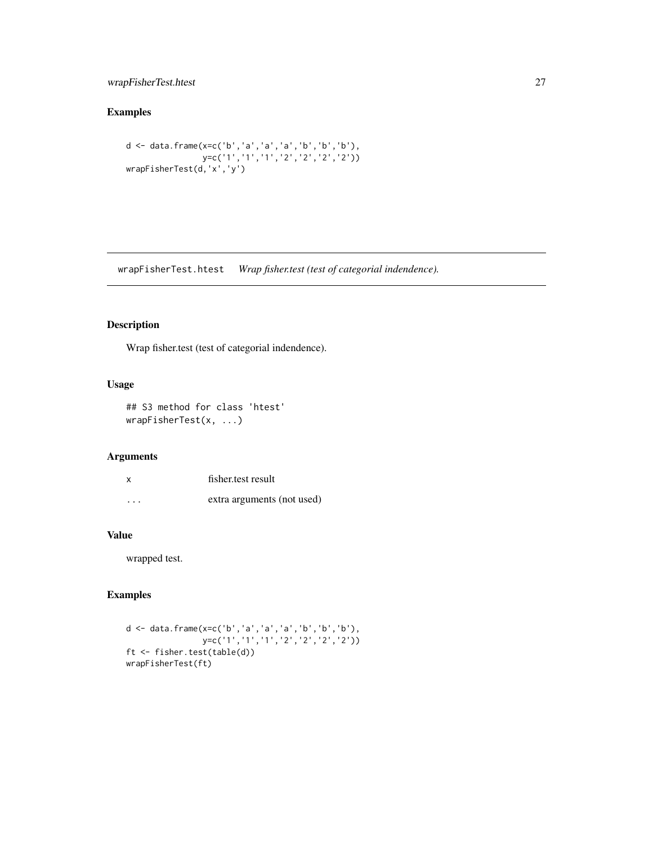# <span id="page-26-0"></span>wrapFisherTest.htest 27

# Examples

```
d <- data.frame(x=c('b','a','a','a','b','b','b'),
                y=c('1','1','1','2','2','2','2'))
wrapFisherTest(d,'x','y')
```
<span id="page-26-1"></span>wrapFisherTest.htest *Wrap fisher.test (test of categorial indendence).*

# Description

Wrap fisher.test (test of categorial indendence).

# Usage

```
## S3 method for class 'htest'
wrapFisherTest(x, ...)
```
# Arguments

| $\boldsymbol{\mathsf{x}}$ | fisher test result         |
|---------------------------|----------------------------|
| .                         | extra arguments (not used) |

### Value

wrapped test.

```
d <- data.frame(x=c('b','a','a','a','b','b','b'),
                y=c('1', '1', '1', '2', '2', '2', '2', '2')ft <- fisher.test(table(d))
wrapFisherTest(ft)
```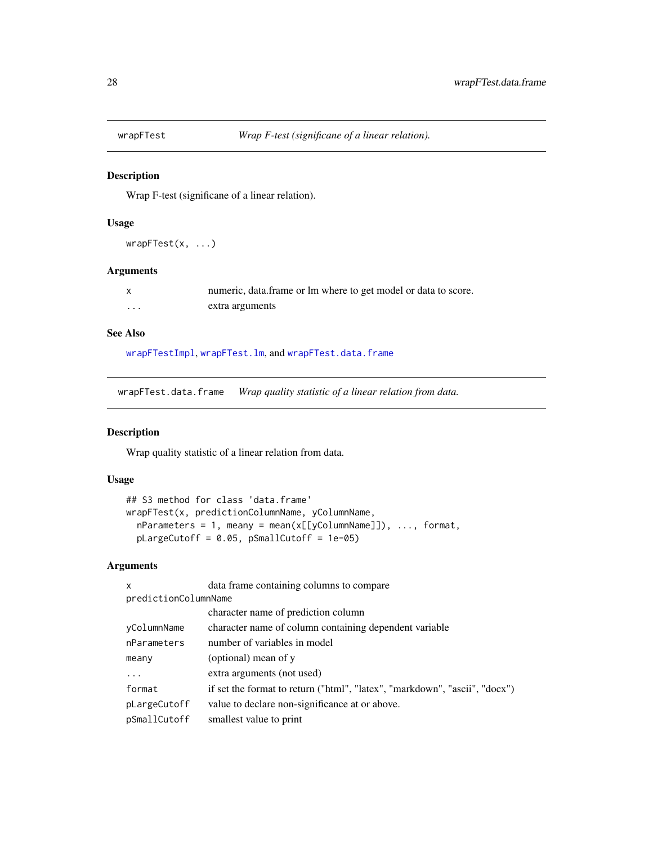<span id="page-27-0"></span>

# Description

Wrap F-test (significane of a linear relation).

# Usage

wrapFTest(x, ...)

# Arguments

|   | numeric, data frame or lm where to get model or data to score. |
|---|----------------------------------------------------------------|
| . | extra arguments                                                |

### See Also

[wrapFTestImpl](#page-29-1), [wrapFTest.lm](#page-28-1), and [wrapFTest.data.frame](#page-27-1)

<span id="page-27-1"></span>wrapFTest.data.frame *Wrap quality statistic of a linear relation from data.*

# Description

Wrap quality statistic of a linear relation from data.

# Usage

```
## S3 method for class 'data.frame'
wrapFTest(x, predictionColumnName, yColumnName,
 nParameters = 1, meany = mean(x[[yColumnName]]), ..., format,
 pLargeCutoff = 0.05, pSmallCutoff = 1e-05)
```
# Arguments

| $\mathsf{x}$         | data frame containing columns to compare                                   |
|----------------------|----------------------------------------------------------------------------|
| predictionColumnName |                                                                            |
|                      | character name of prediction column                                        |
| yColumnName          | character name of column containing dependent variable                     |
| nParameters          | number of variables in model                                               |
| meany                | (optional) mean of y                                                       |
| .                    | extra arguments (not used)                                                 |
| format               | if set the format to return ("html", "latex", "markdown", "ascii", "docx") |
| pLargeCutoff         | value to declare non-significance at or above.                             |
| pSmallCutoff         | smallest value to print                                                    |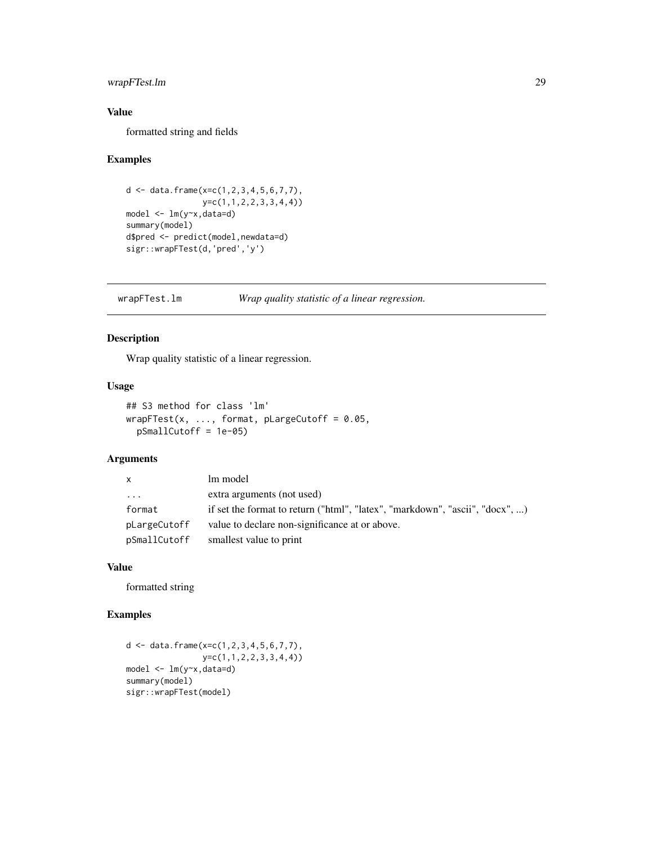# <span id="page-28-0"></span>wrapFTest.lm 29

# Value

formatted string and fields

### Examples

```
d \leq data.frame(x=c(1,2,3,4,5,6,7,7),
               y=c(1,1,2,2,3,3,4,4))
model <- lm(y~x,data=d)
summary(model)
d$pred <- predict(model,newdata=d)
sigr::wrapFTest(d,'pred','y')
```
<span id="page-28-1"></span>wrapFTest.lm *Wrap quality statistic of a linear regression.*

# Description

Wrap quality statistic of a linear regression.

# Usage

```
## S3 method for class 'lm'
wrapFTest(x, \dots, format, pLargeCutoff = 0.05,
 pSmallCutoff = 1e-05)
```
# Arguments

| $\mathsf{x}$ | lm model                                                                     |
|--------------|------------------------------------------------------------------------------|
| $\cdot$      | extra arguments (not used)                                                   |
| format       | if set the format to return ("html", "latex", "markdown", "ascii", "docx", ) |
| pLargeCutoff | value to declare non-significance at or above.                               |
| pSmallCutoff | smallest value to print                                                      |

### Value

formatted string

```
d <- data.frame(x=c(1,2,3,4,5,6,7,7),
               y=c(1,1,2,2,3,3,4,4))
model <- lm(y~x,data=d)
summary(model)
sigr::wrapFTest(model)
```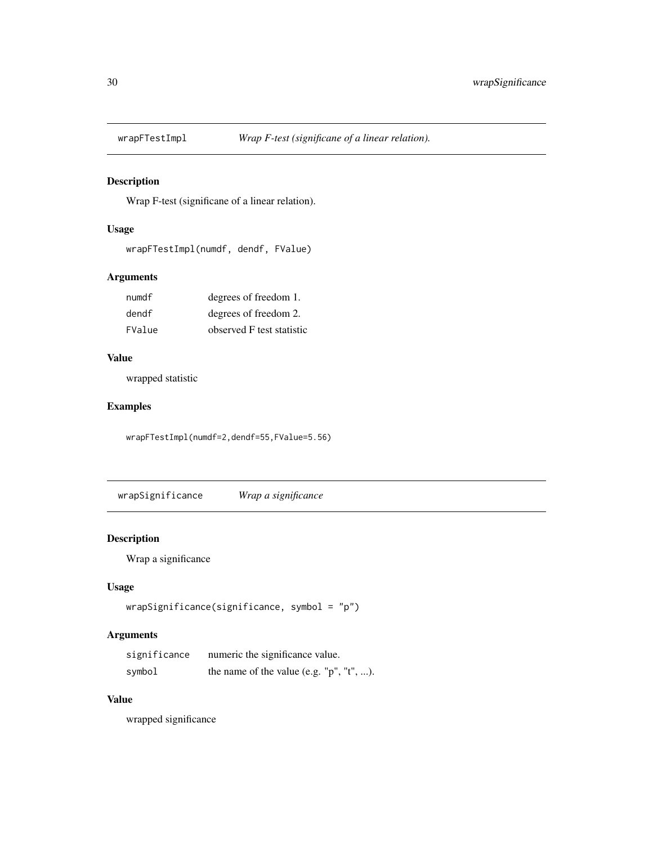<span id="page-29-1"></span><span id="page-29-0"></span>

# Description

Wrap F-test (significane of a linear relation).

# Usage

wrapFTestImpl(numdf, dendf, FValue)

# Arguments

| numdf  | degrees of freedom 1.     |
|--------|---------------------------|
| dendf  | degrees of freedom 2.     |
| FValue | observed F test statistic |

# Value

wrapped statistic

# Examples

wrapFTestImpl(numdf=2,dendf=55,FValue=5.56)

wrapSignificance *Wrap a significance*

# Description

Wrap a significance

# Usage

```
wrapSignificance(significance, symbol = "p")
```
# Arguments

| significance | numeric the significance value.             |
|--------------|---------------------------------------------|
| symbol       | the name of the value (e.g. $"p", "t", $ ). |

# Value

wrapped significance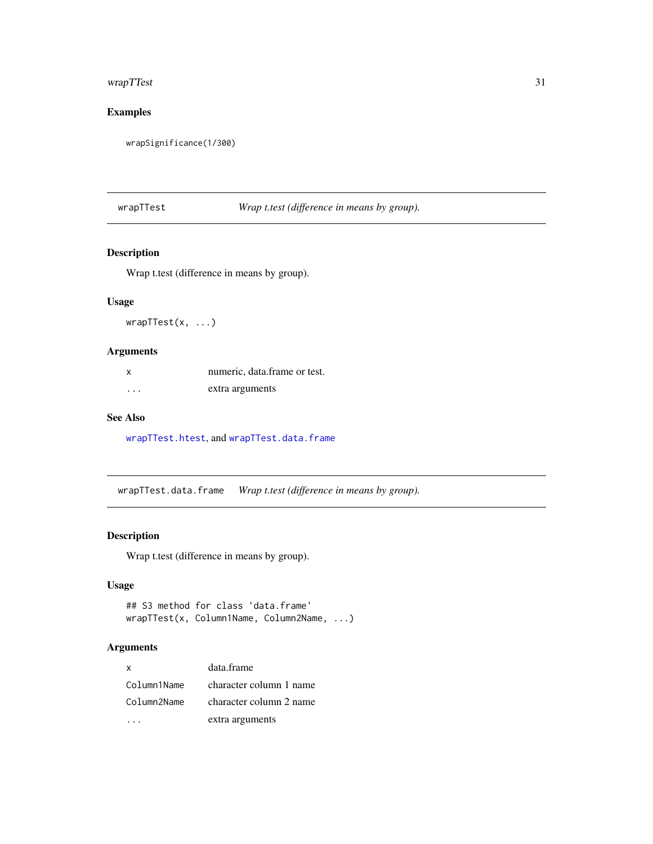# <span id="page-30-0"></span>wrapTTest 31

# Examples

wrapSignificance(1/300)

wrapTTest *Wrap t.test (difference in means by group).*

# Description

Wrap t.test (difference in means by group).

### Usage

wrapTTest(x, ...)

# Arguments

| x        | numeric, data frame or test. |
|----------|------------------------------|
| $\cdots$ | extra arguments              |

# See Also

[wrapTTest.htest](#page-31-1), and [wrapTTest.data.frame](#page-30-1)

<span id="page-30-1"></span>wrapTTest.data.frame *Wrap t.test (difference in means by group).*

### Description

Wrap t.test (difference in means by group).

# Usage

```
## S3 method for class 'data.frame'
wrapTTest(x, Column1Name, Column2Name, ...)
```
# Arguments

| x           | data.frame              |
|-------------|-------------------------|
| Column1Name | character column 1 name |
| Column2Name | character column 2 name |
|             | extra arguments         |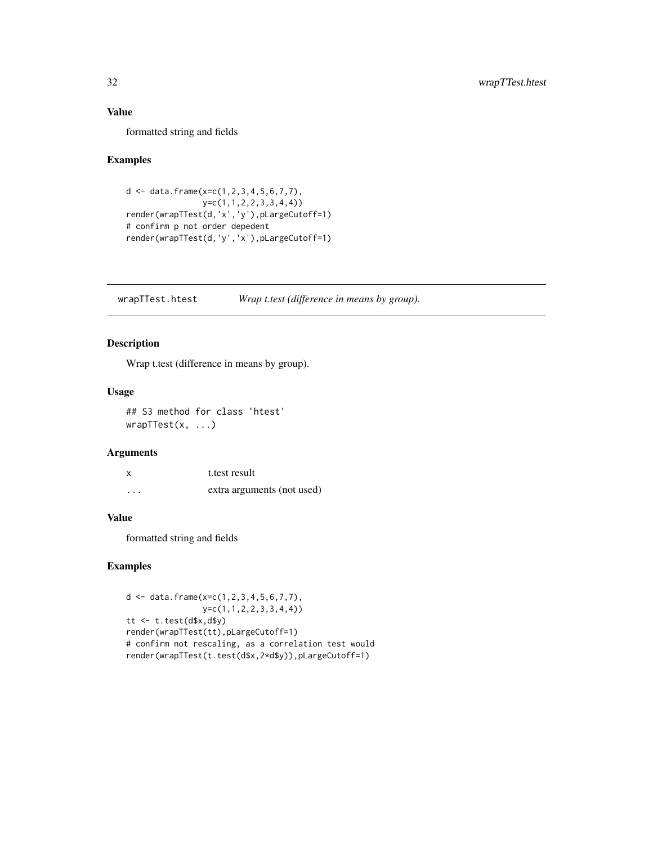# <span id="page-31-0"></span>Value

formatted string and fields

### Examples

```
d \leq data.frame(x=c(1,2,3,4,5,6,7,7),
                y=c(1,1,2,2,3,3,4,4))
render(wrapTTest(d,'x','y'),pLargeCutoff=1)
# confirm p not order depedent
render(wrapTTest(d,'y','x'),pLargeCutoff=1)
```
<span id="page-31-1"></span>wrapTTest.htest *Wrap t.test (difference in means by group).*

# Description

Wrap t.test (difference in means by group).

# Usage

## S3 method for class 'htest' wrapTTest(x, ...)

# Arguments

| X        | t. test result             |
|----------|----------------------------|
| $\cdots$ | extra arguments (not used) |

# Value

formatted string and fields

```
d <- data.frame(x=c(1,2,3,4,5,6,7,7),
               y=c(1,1,2,2,3,3,4,4))
tt <- t.test(d$x,d$y)
render(wrapTTest(tt),pLargeCutoff=1)
# confirm not rescaling, as a correlation test would
render(wrapTTest(t.test(d$x,2*d$y)),pLargeCutoff=1)
```